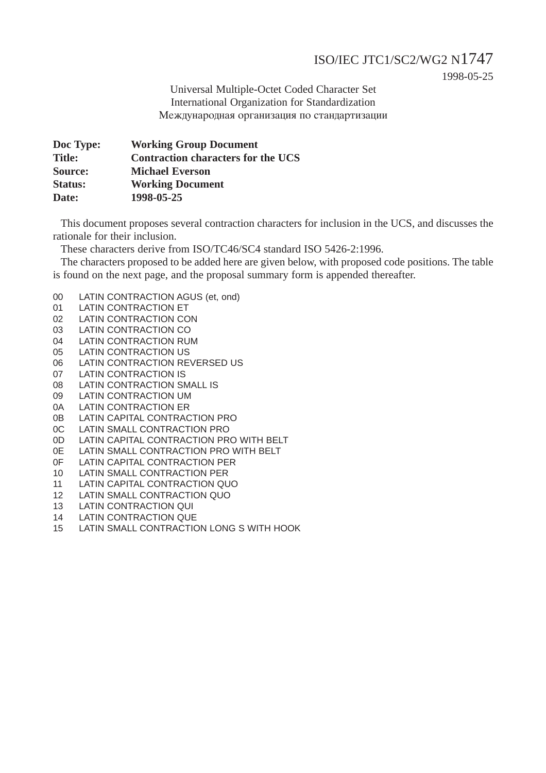### ISO/IEC JTC1/SC2/WG2 N1747

1998-05-25

Universal Multiple-Octet Coded Character Set International Organization for Standardization Международная организация по стандартизации

| Doc Type:      | <b>Working Group Document</b>             |
|----------------|-------------------------------------------|
| <b>Title:</b>  | <b>Contraction characters for the UCS</b> |
| Source:        | <b>Michael Everson</b>                    |
| <b>Status:</b> | <b>Working Document</b>                   |
| Date:          | 1998-05-25                                |

This document proposes several contraction characters for inclusion in the UCS, and discusses the rationale for their inclusion.

These characters derive from ISO/TC46/SC4 standard ISO 5426-2:1996.

The characters proposed to be added here are given below, with proposed code positions. The table is found on the next page, and the proposal summary form is appended thereafter.

- 00 LATIN CONTRACTION AGUS (et, ond)
- 01 LATIN CONTRACTION ET
- 02 LATIN CONTRACTION CON
- 03 LATIN CONTRACTION CO
- 04 LATIN CONTRACTION RUM
- 05 LATIN CONTRACTION US
- 06 LATIN CONTRACTION REVERSED US
- 07 LATIN CONTRACTION IS
- 08 LATIN CONTRACTION SMALL IS
- 09 LATIN CONTRACTION UM
- 0A LATIN CONTRACTION ER
- 0B LATIN CAPITAL CONTRACTION PRO
- 0C LATIN SMALL CONTRACTION PRO
- 0D LATIN CAPITAL CONTRACTION PRO WITH BELT
- 0E LATIN SMALL CONTRACTION PRO WITH BELT
- 0F LATIN CAPITAL CONTRACTION PER
- 10 LATIN SMALL CONTRACTION PER
- 11 LATIN CAPITAL CONTRACTION QUO
- 12 LATIN SMALL CONTRACTION QUO
- 13 LATIN CONTRACTION QUI
- 14 LATIN CONTRACTION QUE
- 15 LATIN SMALL CONTRACTION LONG S WITH HOOK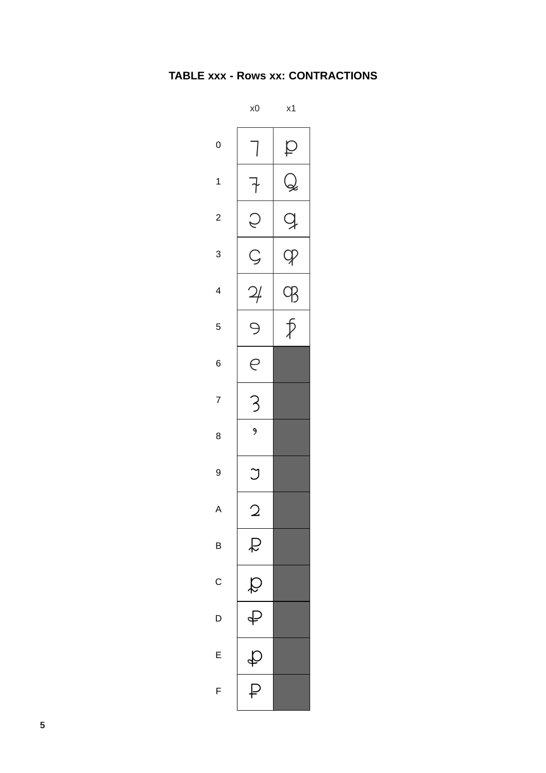### TABLE xxx - Rows xx: CONTRACTIONS

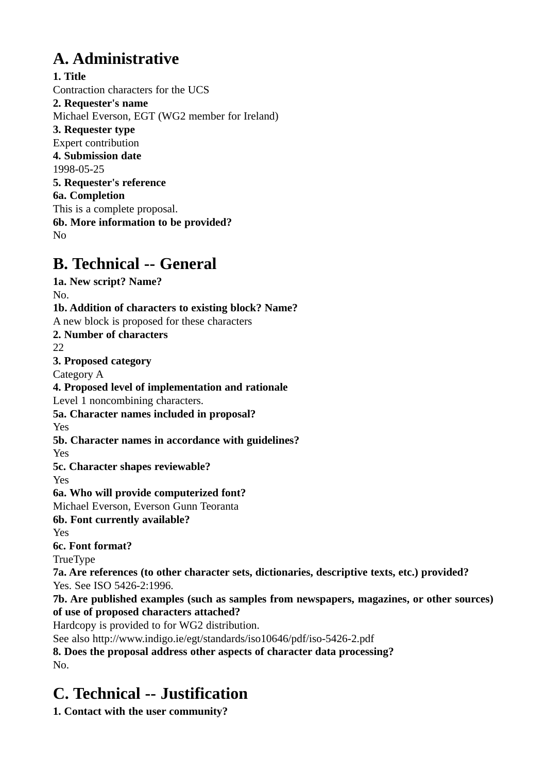# **A. Administrative**

**1. Title** Contraction characters for the UCS **2. Requester's name** Michael Everson, EGT (WG2 member for Ireland) **3. Requester type** Expert contribution **4. Submission date** 1998-05-25 **5. Requester's reference 6a. Completion** This is a complete proposal. **6b. More information to be provided?** No

## **B. Technical -- General**

**1a. New script? Name?** No. **1b. Addition of characters to existing block? Name?** A new block is proposed for these characters **2. Number of characters** 22 **3. Proposed category** Category A **4. Proposed level of implementation and rationale** Level 1 noncombining characters. **5a. Character names included in proposal?** Yes **5b. Character names in accordance with guidelines?** Yes **5c. Character shapes reviewable?** Yes **6a. Who will provide computerized font?** Michael Everson, Everson Gunn Teoranta **6b. Font currently available?** Yes **6c. Font format?** TrueType **7a. Are references (to other character sets, dictionaries, descriptive texts, etc.) provided?** Yes. See ISO 5426-2:1996. **7b. Are published examples (such as samples from newspapers, magazines, or other sources) of use of proposed characters attached?** Hardcopy is provided to for WG2 distribution. See also http://www.indigo.ie/egt/standards/iso10646/pdf/iso-5426-2.pdf **8. Does the proposal address other aspects of character data processing?** No.

# **C. Technical -- Justification**

**1. Contact with the user community?**